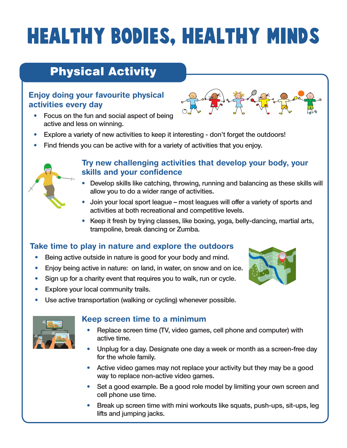# **HEALTHY BODIES, HEALTHY MINDS**

# Physical Activity

### Enjoy doing your favourite physical activities every day



- Focus on the fun and social aspect of being active and less on winning.
- Explore a variety of new activities to keep it interesting don't forget the outdoors!
- Find friends you can be active with for a variety of activities that you enjoy.



#### Try new challenging activities that develop your body, your skills and your confidence

- Develop skills like catching, throwing, running and balancing as these skills will allow you to do a wider range of activities.
- Join your local sport league most leagues will offer a variety of sports and activities at both recreational and competitive levels.
- Keep it fresh by trying classes, like boxing, yoga, belly-dancing, martial arts, trampoline, break dancing or Zumba.

## Take time to play in nature and explore the outdoors

- Being active outside in nature is good for your body and mind.
- Enjoy being active in nature: on land, in water, on snow and on ice.
- Sign up for a charity event that requires you to walk, run or cycle.
- Explore your local community trails.
- Use active transportation (walking or cycling) whenever possible.



#### Keep screen time to a minimum

- Replace screen time (TV, video games, cell phone and computer) with active time.
- Unplug for a day. Designate one day a week or month as a screen-free day for the whole family.
- Active video games may not replace your activity but they may be a good way to replace non-active video games.
- Set a good example. Be a good role model by limiting your own screen and cell phone use time.
- Break up screen time with mini workouts like squats, push-ups, sit-ups, leg lifts and jumping jacks.